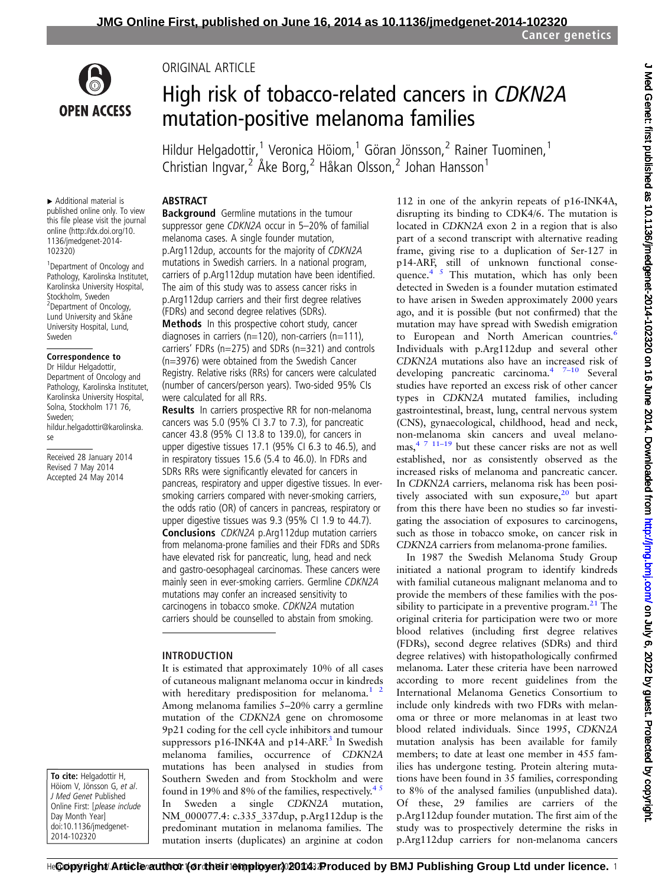

# High risk of tobacco-related cancers in CDKN2A mutation-positive melanoma families

Hildur Helgadottir,<sup>1</sup> Veronica Höiom,<sup>1</sup> Göran Jönsson,<sup>2</sup> Rainer Tuominen,<sup>1</sup> Christian Ingvar,<sup>2</sup> Åke Borg,<sup>2</sup> Håkan Olsson,<sup>2</sup> Johan Hansson<sup>1</sup>

#### ▸ Additional material is published online only. To view this file please visit the journal online ([http://dx.doi.org/10.](http://dx.doi.org/10.1136/jmedgenet-2014-102320) [1136/jmedgenet-2014-](http://dx.doi.org/10.1136/jmedgenet-2014-102320) [102320](http://dx.doi.org/10.1136/jmedgenet-2014-102320))

1 Department of Oncology and Pathology, Karolinska Institutet, Karolinska University Hospital, Stockholm, Sweden 2 Department of Oncology, Lund University and Skåne University Hospital, Lund, Sweden

#### Correspondence to

Dr Hildur Helgadottir, Department of Oncology and Pathology, Karolinska Institutet, Karolinska University Hospital, Solna, Stockholm 171 76, Sweden; hildur.helgadottir@karolinska. se

Received 28 January 2014 Revised 7 May 2014 Accepted 24 May 2014

To cite: Helgadottir H, Höiom V, Jönsson G, et al. J Med Genet Published Online First: [please include Day Month Year] doi:10.1136/jmedgenet-2014-102320

### ABSTRACT

ORIGINAL ARTICLE

**Background** Germline mutations in the tumour suppressor gene CDKN2A occur in 5–20% of familial melanoma cases. A single founder mutation, p.Arg112dup, accounts for the majority of CDKN2A mutations in Swedish carriers. In a national program, carriers of p.Arg112dup mutation have been identified. The aim of this study was to assess cancer risks in p.Arg112dup carriers and their first degree relatives (FDRs) and second degree relatives (SDRs).

**Methods** In this prospective cohort study, cancer diagnoses in carriers ( $n=120$ ), non-carriers ( $n=111$ ), carriers' FDRs (n=275) and SDRs (n=321) and controls (n=3976) were obtained from the Swedish Cancer Registry. Relative risks (RRs) for cancers were calculated (number of cancers/person years). Two-sided 95% CIs were calculated for all RRs.

**Results** In carriers prospective RR for non-melanoma cancers was 5.0 (95% CI 3.7 to 7.3), for pancreatic cancer 43.8 (95% CI 13.8 to 139.0), for cancers in upper digestive tissues 17.1 (95% CI 6.3 to 46.5), and in respiratory tissues 15.6 (5.4 to 46.0). In FDRs and SDRs RRs were significantly elevated for cancers in pancreas, respiratory and upper digestive tissues. In eversmoking carriers compared with never-smoking carriers, the odds ratio (OR) of cancers in pancreas, respiratory or upper digestive tissues was 9.3 (95% CI 1.9 to 44.7). Conclusions CDKN2A p.Arg112dup mutation carriers from melanoma-prone families and their FDRs and SDRs have elevated risk for pancreatic, lung, head and neck and gastro-oesophageal carcinomas. These cancers were mainly seen in ever-smoking carriers. Germline CDKN2A mutations may confer an increased sensitivity to carcinogens in tobacco smoke. CDKN2A mutation carriers should be counselled to abstain from smoking.

#### INTRODUCTION

It is estimated that approximately 10% of all cases of cutaneous malignant melanoma occur in kindreds with hereditary predisposition for melanoma. $1<sup>2</sup>$ Among melanoma families 5–20% carry a germline mutation of the CDKN2A gene on chromosome 9p21 coding for the cell cycle inhibitors and tumour suppressors p16-INK4A and p14-ARF.<sup>[3](#page-6-0)</sup> In Swedish melanoma families, occurrence of CDKN2A mutations has been analysed in studies from Southern Sweden and from Stockholm and were found in 19% and 8% of the families, respectively.<sup>45</sup> In Sweden a single CDKN2A mutation, NM\_000077.4: c.335\_337dup, p.Arg112dup is the predominant mutation in melanoma families. The mutation inserts (duplicates) an arginine at codon

112 in one of the ankyrin repeats of p16-INK4A, disrupting its binding to CDK4/6. The mutation is located in CDKN2A exon 2 in a region that is also part of a second transcript with alternative reading frame, giving rise to a duplication of Ser-127 in p14-ARF, still of unknown functional conse-quence.<sup>[4 5](#page-6-0)</sup> This mutation, which has only been detected in Sweden is a founder mutation estimated to have arisen in Sweden approximately 2000 years ago, and it is possible (but not confirmed) that the mutation may have spread with Swedish emigration to European and North American countries.<sup>[6](#page-6-0)</sup> Individuals with p.Arg112dup and several other CDKN2A mutations also have an increased risk of developing pancreatic carcinoma.<sup>[4](#page-6-0)</sup> <sup>7-[10](#page-6-0)</sup> Several studies have reported an excess risk of other cancer types in CDKN2A mutated families, including gastrointestinal, breast, lung, central nervous system (CNS), gynaecological, childhood, head and neck, non-melanoma skin cancers and uveal melano- $\text{mas}^4$ ,  $\frac{7 \text{ 11-19}}{2 \text{ but these cancer risks are not as well}}$  $\frac{7 \text{ 11-19}}{2 \text{ but these cancer risks are not as well}}$  $\frac{7 \text{ 11-19}}{2 \text{ but these cancer risks are not as well}}$ established, nor as consistently observed as the increased risks of melanoma and pancreatic cancer. In CDKN2A carriers, melanoma risk has been positively associated with sun exposure, $20$  but apart from this there have been no studies so far investigating the association of exposures to carcinogens, such as those in tobacco smoke, on cancer risk in CDKN2A carriers from melanoma-prone families.

In 1987 the Swedish Melanoma Study Group initiated a national program to identify kindreds with familial cutaneous malignant melanoma and to provide the members of these families with the possibility to participate in a preventive program. $^{21}$  The original criteria for participation were two or more blood relatives (including first degree relatives (FDRs), second degree relatives (SDRs) and third degree relatives) with histopathologically confirmed melanoma. Later these criteria have been narrowed according to more recent guidelines from the International Melanoma Genetics Consortium to include only kindreds with two FDRs with melanoma or three or more melanomas in at least two blood related individuals. Since 1995, CDKN2A mutation analysis has been available for family members; to date at least one member in 455 families has undergone testing. Protein altering mutations have been found in 35 families, corresponding to 8% of the analysed families (unpublished data). Of these, 29 families are carriers of the p.Arg112dup founder mutation. The first aim of the study was to prospectively determine the risks in p.Arg112dup carriers for non-melanoma cancers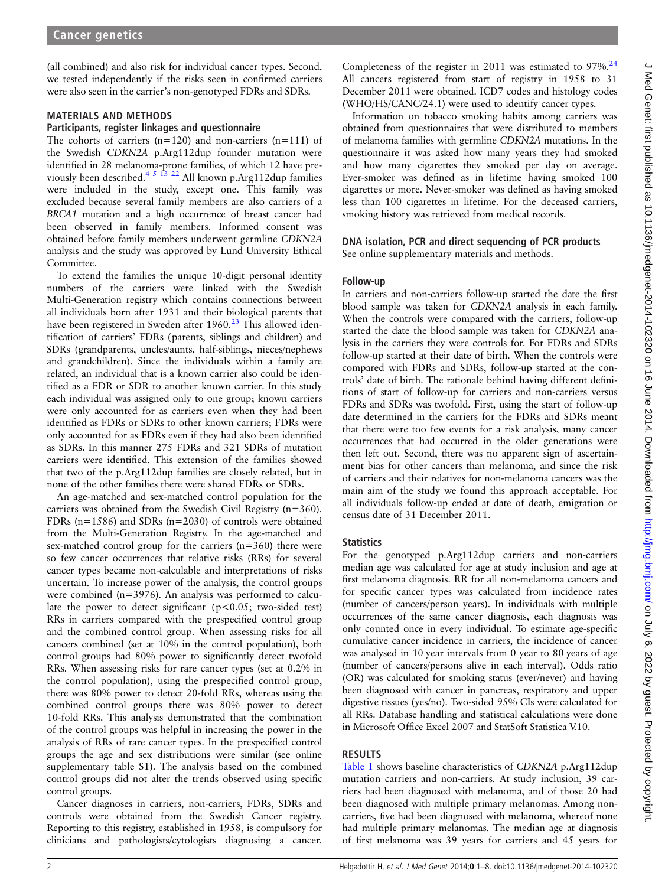(all combined) and also risk for individual cancer types. Second, we tested independently if the risks seen in confirmed carriers were also seen in the carrier's non-genotyped FDRs and SDRs.

#### MATERIALS AND METHODS

#### Participants, register linkages and questionnaire

The cohorts of carriers  $(n=120)$  and non-carriers  $(n=111)$  of the Swedish CDKN2A p.Arg112dup founder mutation were identified in 28 melanoma-prone families, of which 12 have previously been described.<sup>4 5 13 22</sup> All known p.Arg112dup families were included in the study, except one. This family was excluded because several family members are also carriers of a BRCA1 mutation and a high occurrence of breast cancer had been observed in family members. Informed consent was obtained before family members underwent germline CDKN2A analysis and the study was approved by Lund University Ethical Committee.

To extend the families the unique 10-digit personal identity numbers of the carriers were linked with the Swedish Multi-Generation registry which contains connections between all individuals born after 1931 and their biological parents that have been registered in Sweden after 1960.<sup>[23](#page-6-0)</sup> This allowed identification of carriers' FDRs (parents, siblings and children) and SDRs (grandparents, uncles/aunts, half-siblings, nieces/nephews and grandchildren). Since the individuals within a family are related, an individual that is a known carrier also could be identified as a FDR or SDR to another known carrier. In this study each individual was assigned only to one group; known carriers were only accounted for as carriers even when they had been identified as FDRs or SDRs to other known carriers; FDRs were only accounted for as FDRs even if they had also been identified as SDRs. In this manner 275 FDRs and 321 SDRs of mutation carriers were identified. This extension of the families showed that two of the p.Arg112dup families are closely related, but in none of the other families there were shared FDRs or SDRs.

An age-matched and sex-matched control population for the carriers was obtained from the Swedish Civil Registry (n=360). FDRs (n=1586) and SDRs (n=2030) of controls were obtained from the Multi-Generation Registry. In the age-matched and sex-matched control group for the carriers (n=360) there were so few cancer occurrences that relative risks (RRs) for several cancer types became non-calculable and interpretations of risks uncertain. To increase power of the analysis, the control groups were combined (n=3976). An analysis was performed to calculate the power to detect significant ( $p < 0.05$ ; two-sided test) RRs in carriers compared with the prespecified control group and the combined control group. When assessing risks for all cancers combined (set at 10% in the control population), both control groups had 80% power to significantly detect twofold RRs. When assessing risks for rare cancer types (set at 0.2% in the control population), using the prespecified control group, there was 80% power to detect 20-fold RRs, whereas using the combined control groups there was 80% power to detect 10-fold RRs. This analysis demonstrated that the combination of the control groups was helpful in increasing the power in the analysis of RRs of rare cancer types. In the prespecified control groups the age and sex distributions were similar (see online supplementary table S1). The analysis based on the combined control groups did not alter the trends observed using specific control groups.

Cancer diagnoses in carriers, non-carriers, FDRs, SDRs and controls were obtained from the Swedish Cancer registry. Reporting to this registry, established in 1958, is compulsory for clinicians and pathologists/cytologists diagnosing a cancer.

Completeness of the register in 2011 was estimated to  $97\%$ .<sup>[24](#page-6-0)</sup> All cancers registered from start of registry in 1958 to 31 December 2011 were obtained. ICD7 codes and histology codes (WHO/HS/CANC/24.1) were used to identify cancer types.

Information on tobacco smoking habits among carriers was obtained from questionnaires that were distributed to members of melanoma families with germline CDKN2A mutations. In the questionnaire it was asked how many years they had smoked and how many cigarettes they smoked per day on average. Ever-smoker was defined as in lifetime having smoked 100 cigarettes or more. Never-smoker was defined as having smoked less than 100 cigarettes in lifetime. For the deceased carriers, smoking history was retrieved from medical records.

## DNA isolation, PCR and direct sequencing of PCR products

See online supplementary materials and methods.

#### Follow-up

In carriers and non-carriers follow-up started the date the first blood sample was taken for CDKN2A analysis in each family. When the controls were compared with the carriers, follow-up started the date the blood sample was taken for CDKN2A analysis in the carriers they were controls for. For FDRs and SDRs follow-up started at their date of birth. When the controls were compared with FDRs and SDRs, follow-up started at the controls' date of birth. The rationale behind having different definitions of start of follow-up for carriers and non-carriers versus FDRs and SDRs was twofold. First, using the start of follow-up date determined in the carriers for the FDRs and SDRs meant that there were too few events for a risk analysis, many cancer occurrences that had occurred in the older generations were then left out. Second, there was no apparent sign of ascertainment bias for other cancers than melanoma, and since the risk of carriers and their relatives for non-melanoma cancers was the main aim of the study we found this approach acceptable. For all individuals follow-up ended at date of death, emigration or census date of 31 December 2011.

#### **Statistics**

For the genotyped p.Arg112dup carriers and non-carriers median age was calculated for age at study inclusion and age at first melanoma diagnosis. RR for all non-melanoma cancers and for specific cancer types was calculated from incidence rates (number of cancers/person years). In individuals with multiple occurrences of the same cancer diagnosis, each diagnosis was only counted once in every individual. To estimate age-specific cumulative cancer incidence in carriers, the incidence of cancer was analysed in 10 year intervals from 0 year to 80 years of age (number of cancers/persons alive in each interval). Odds ratio (OR) was calculated for smoking status (ever/never) and having been diagnosed with cancer in pancreas, respiratory and upper digestive tissues (yes/no). Two-sided 95% CIs were calculated for all RRs. Database handling and statistical calculations were done in Microsoft Office Excel 2007 and StatSoft Statistica V.10.

#### RESULTS

[Table 1](#page-2-0) shows baseline characteristics of CDKN2A p.Arg112dup mutation carriers and non-carriers. At study inclusion, 39 carriers had been diagnosed with melanoma, and of those 20 had been diagnosed with multiple primary melanomas. Among noncarriers, five had been diagnosed with melanoma, whereof none had multiple primary melanomas. The median age at diagnosis of first melanoma was 39 years for carriers and 45 years for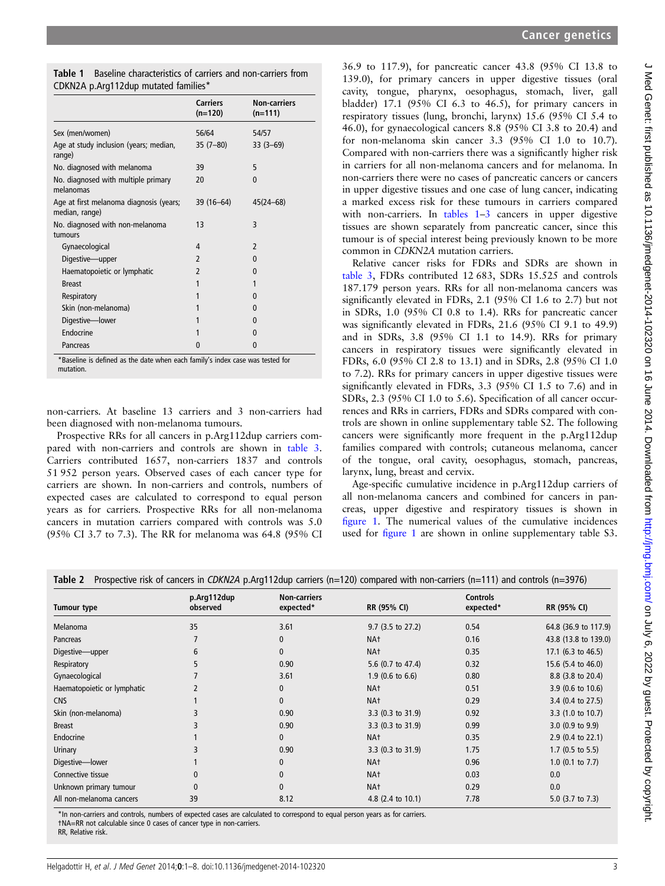<span id="page-2-0"></span>

| <b>Table 1</b> Baseline characteristics of carriers and non-carriers from |
|---------------------------------------------------------------------------|
| CDKN2A p.Arg112dup mutated families*                                      |

|                                                           | <b>Carriers</b><br>$(n=120)$ | <b>Non-carriers</b><br>$(n=111)$ |
|-----------------------------------------------------------|------------------------------|----------------------------------|
| Sex (men/women)                                           | 56/64                        | 54/57                            |
| Age at study inclusion (years; median,<br>range)          | $35(7-80)$                   | $33(3-69)$                       |
| No. diagnosed with melanoma                               | 39                           | 5                                |
| No. diagnosed with multiple primary<br>melanomas          | 20                           | $\mathbf{0}$                     |
| Age at first melanoma diagnosis (years;<br>median, range) | 39 (16-64)                   | $45(24 - 68)$                    |
| No. diagnosed with non-melanoma                           | 13                           | 3                                |
| tumours                                                   |                              |                                  |
| Gynaecological                                            | 4                            | $\overline{\phantom{0}}$         |
| Digestive-upper                                           | $\mathfrak z$                | $\Omega$                         |
| Haematopoietic or lymphatic                               | $\overline{\phantom{a}}$     | $\Omega$                         |
| <b>Breast</b>                                             | 1                            | 1                                |
| Respiratory                                               | 1                            | 0                                |
| Skin (non-melanoma)                                       | 1                            | $\Omega$                         |
| Digestive-lower                                           | 1                            | $\Omega$                         |
| Endocrine                                                 |                              | $\Omega$                         |
| Pancreas                                                  | 0                            | $\mathbf{0}$                     |

\*Baseline is defined as the date when each family's index case was tested for mutation.

non-carriers. At baseline 13 carriers and 3 non-carriers had been diagnosed with non-melanoma tumours.

Prospective RRs for all cancers in p.Arg112dup carriers compared with non-carriers and controls are shown in [table 3](#page-3-0). Carriers contributed 1657, non-carriers 1837 and controls 51 952 person years. Observed cases of each cancer type for carriers are shown. In non-carriers and controls, numbers of expected cases are calculated to correspond to equal person years as for carriers. Prospective RRs for all non-melanoma cancers in mutation carriers compared with controls was 5.0 (95% CI 3.7 to 7.3). The RR for melanoma was 64.8 (95% CI

36.9 to 117.9), for pancreatic cancer 43.8 (95% CI 13.8 to 139.0), for primary cancers in upper digestive tissues (oral cavity, tongue, pharynx, oesophagus, stomach, liver, gall bladder) 17.1 (95% CI 6.3 to 46.5), for primary cancers in respiratory tissues (lung, bronchi, larynx) 15.6 (95% CI 5.4 to 46.0), for gynaecological cancers 8.8 (95% CI 3.8 to 20.4) and for non-melanoma skin cancer 3.3 (95% CI 1.0 to 10.7). Compared with non-carriers there was a significantly higher risk in carriers for all non-melanoma cancers and for melanoma. In non-carriers there were no cases of pancreatic cancers or cancers in upper digestive tissues and one case of lung cancer, indicating a marked excess risk for these tumours in carriers compared with non-carriers. In tables 1–[3](#page-3-0) cancers in upper digestive tissues are shown separately from pancreatic cancer, since this tumour is of special interest being previously known to be more common in CDKN2A mutation carriers.

Relative cancer risks for FDRs and SDRs are shown in [table 3,](#page-3-0) FDRs contributed 12 683, SDRs 15.525 and controls 187.179 person years. RRs for all non-melanoma cancers was significantly elevated in FDRs, 2.1 (95% CI 1.6 to 2.7) but not in SDRs, 1.0 (95% CI 0.8 to 1.4). RRs for pancreatic cancer was significantly elevated in FDRs, 21.6 (95% CI 9.1 to 49.9) and in SDRs, 3.8 (95% CI 1.1 to 14.9). RRs for primary cancers in respiratory tissues were significantly elevated in FDRs, 6.0 (95% CI 2.8 to 13.1) and in SDRs, 2.8 (95% CI 1.0 to 7.2). RRs for primary cancers in upper digestive tissues were significantly elevated in FDRs, 3.3 (95% CI 1.5 to 7.6) and in SDRs, 2.3 (95% CI 1.0 to 5.6). Specification of all cancer occurrences and RRs in carriers, FDRs and SDRs compared with controls are shown in online supplementary table S2. The following cancers were significantly more frequent in the p.Arg112dup families compared with controls; cutaneous melanoma, cancer of the tongue, oral cavity, oesophagus, stomach, pancreas, larynx, lung, breast and cervix.

Age-specific cumulative incidence in p.Arg112dup carriers of all non-melanoma cancers and combined for cancers in pancreas, upper digestive and respiratory tissues is shown in fi[gure 1](#page-3-0). The numerical values of the cumulative incidences used for fi[gure 1](#page-3-0) are shown in online supplementary table S3.

|  |  |  |  | Table 2 Prospective risk of cancers in CDKN2A p.Arg112dup carriers (n=120) compared with non-carriers (n=111) and controls (n=3976) |
|--|--|--|--|-------------------------------------------------------------------------------------------------------------------------------------|
|--|--|--|--|-------------------------------------------------------------------------------------------------------------------------------------|

| <b>Tumour type</b>          | p.Arg112dup<br>observed | <b>Non-carriers</b><br>expected* | <b>RR (95% CI)</b>  | <b>Controls</b><br>expected* | <b>RR (95% CI)</b>           |
|-----------------------------|-------------------------|----------------------------------|---------------------|------------------------------|------------------------------|
| Melanoma                    | 35                      | 3.61                             | $9.7$ (3.5 to 27.2) | 0.54                         | 64.8 (36.9 to 117.9)         |
| Pancreas                    |                         | $\mathbf{0}$                     | NA <sup>+</sup>     | 0.16                         | 43.8 (13.8 to 139.0)         |
| Digestive—upper             | 6                       | $\mathbf{0}$                     | NA <sup>+</sup>     | 0.35                         | 17.1 (6.3 to 46.5)           |
| Respiratory                 | 5                       | 0.90                             | 5.6 (0.7 to 47.4)   | 0.32                         | 15.6 (5.4 to 46.0)           |
| Gynaecological              |                         | 3.61                             | $1.9$ (0.6 to 6.6)  | 0.80                         | 8.8 (3.8 to 20.4)            |
| Haematopoietic or lymphatic |                         | $\mathbf{0}$                     | NA <sup>t</sup>     | 0.51                         | 3.9 (0.6 to 10.6)            |
| <b>CNS</b>                  |                         | $\mathbf{0}$                     | NA <sup>t</sup>     | 0.29                         | 3.4 $(0.4 \text{ to } 27.5)$ |
| Skin (non-melanoma)         |                         | 0.90                             | 3.3 (0.3 to 31.9)   | 0.92                         | $3.3$ (1.0 to 10.7)          |
| <b>Breast</b>               |                         | 0.90                             | 3.3 (0.3 to 31.9)   | 0.99                         | $3.0$ (0.9 to 9.9)           |
| Endocrine                   |                         | $\mathbf{0}$                     | NA <sup>+</sup>     | 0.35                         | $2.9$ (0.4 to 22.1)          |
| Urinary                     |                         | 0.90                             | 3.3 (0.3 to 31.9)   | 1.75                         | $1.7$ (0.5 to 5.5)           |
| Digestive-lower             |                         | $\mathbf{0}$                     | NA <sup>t</sup>     | 0.96                         | $1.0$ (0.1 to 7.7)           |
| Connective tissue           | $\mathbf{0}$            | $\mathbf{0}$                     | NA <sup>t</sup>     | 0.03                         | 0.0                          |
| Unknown primary tumour      | 0                       | $\mathbf{0}$                     | NA <sup>t</sup>     | 0.29                         | 0.0                          |
| All non-melanoma cancers    | 39                      | 8.12                             | 4.8 (2.4 to 10.1)   | 7.78                         | 5.0 $(3.7 \text{ to } 7.3)$  |

\*In non-carriers and controls, numbers of expected cases are calculated to correspond to equal person years as for carriers. †NA=RR not calculable since 0 cases of cancer type in non-carriers.

RR, Relative risk.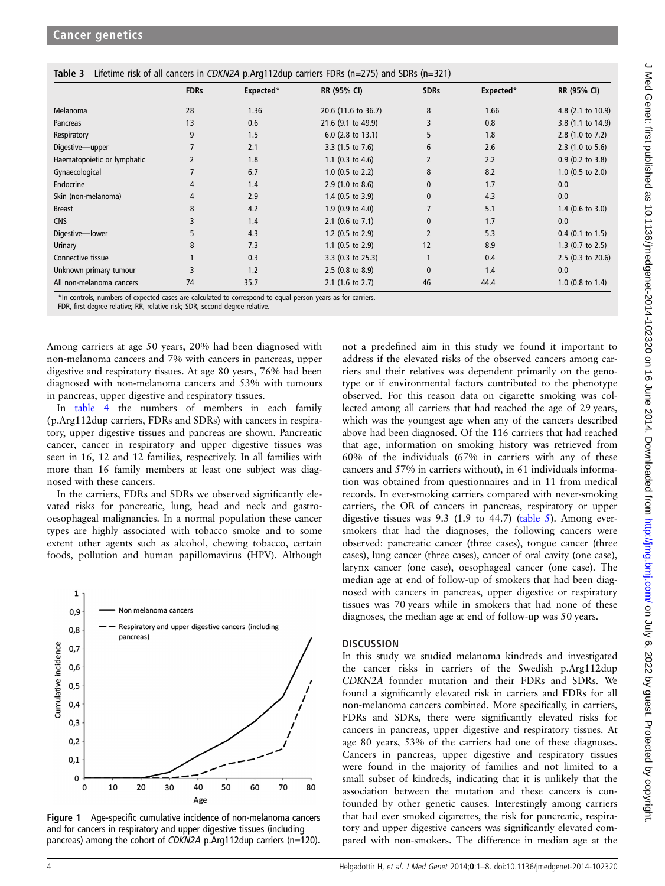<span id="page-3-0"></span>

|  |  |  | Table 3 Lifetime risk of all cancers in CDKN2A p.Arg112dup carriers FDRs (n=275) and SDRs (n=321) |  |  |
|--|--|--|---------------------------------------------------------------------------------------------------|--|--|
|--|--|--|---------------------------------------------------------------------------------------------------|--|--|

|                             | <b>FDRs</b>    | Expected* | RR (95% CI)                 | <b>SDRs</b>    | Expected* | RR (95% CI)                 |
|-----------------------------|----------------|-----------|-----------------------------|----------------|-----------|-----------------------------|
| Melanoma                    | 28             | 1.36      | 20.6 (11.6 to 36.7)         | 8              | 1.66      | 4.8 (2.1 to 10.9)           |
| Pancreas                    | 13             | 0.6       | 21.6 (9.1 to 49.9)          | 3              | 0.8       | 3.8 (1.1 to 14.9)           |
| Respiratory                 | 9              | 1.5       | $6.0$ (2.8 to 13.1)         | 5              | 1.8       | 2.8 (1.0 to 7.2)            |
| Digestive-upper             | $\overline{7}$ | 2.1       | 3.3 $(1.5 \text{ to } 7.6)$ | 6              | 2.6       | $2.3$ (1.0 to 5.6)          |
| Haematopoietic or lymphatic | $\overline{2}$ | 1.8       | 1.1 $(0.3 \text{ to } 4.6)$ | 2              | 2.2       | $0.9$ (0.2 to 3.8)          |
| Gynaecological              |                | 6.7       | $1.0$ (0.5 to 2.2)          | 8              | 8.2       | $1.0$ (0.5 to 2.0)          |
| Endocrine                   | 4              | 1.4       | 2.9(1.0 to 8.6)             | 0              | 1.7       | 0.0                         |
| Skin (non-melanoma)         | $\overline{4}$ | 2.9       | $1.4$ (0.5 to 3.9)          | 0              | 4.3       | 0.0                         |
| <b>Breast</b>               | 8              | 4.2       | $1.9$ (0.9 to 4.0)          | 7              | 5.1       | $1.4$ (0.6 to 3.0)          |
| <b>CNS</b>                  | 3              | 1.4       | $2.1$ (0.6 to 7.1)          | $\mathbf{0}$   | 1.7       | 0.0                         |
| Digestive-lower             | 5              | 4.3       | 1.2 $(0.5 \text{ to } 2.9)$ | $\overline{2}$ | 5.3       | $0.4$ (0.1 to 1.5)          |
| Urinary                     | 8              | 7.3       | 1.1 $(0.5 \text{ to } 2.9)$ | 12             | 8.9       | 1.3 $(0.7 \text{ to } 2.5)$ |
| Connective tissue           |                | 0.3       | $3.3$ (0.3 to 25.3)         |                | 0.4       | $2.5$ (0.3 to 20.6)         |
| Unknown primary tumour      | 3              | 1.2       | $2.5$ (0.8 to 8.9)          | $\mathbf{0}$   | 1.4       | 0.0                         |
| All non-melanoma cancers    | 74             | 35.7      | $2.1$ (1.6 to 2.7)          | 46             | 44.4      | 1.0 $(0.8 \text{ to } 1.4)$ |

\*In controls, numbers of expected cases are calculated to correspond to equal person years as for carriers.

FDR, first degree relative; RR, relative risk; SDR, second degree relative.

Among carriers at age 50 years, 20% had been diagnosed with non-melanoma cancers and 7% with cancers in pancreas, upper digestive and respiratory tissues. At age 80 years, 76% had been diagnosed with non-melanoma cancers and 53% with tumours in pancreas, upper digestive and respiratory tissues.

In [table 4](#page-4-0) the numbers of members in each family (p.Arg112dup carriers, FDRs and SDRs) with cancers in respiratory, upper digestive tissues and pancreas are shown. Pancreatic cancer, cancer in respiratory and upper digestive tissues was seen in 16, 12 and 12 families, respectively. In all families with more than 16 family members at least one subject was diagnosed with these cancers.

In the carriers, FDRs and SDRs we observed significantly elevated risks for pancreatic, lung, head and neck and gastrooesophageal malignancies. In a normal population these cancer types are highly associated with tobacco smoke and to some extent other agents such as alcohol, chewing tobacco, certain foods, pollution and human papillomavirus (HPV). Although



Figure 1 Age-specific cumulative incidence of non-melanoma cancers and for cancers in respiratory and upper digestive tissues (including pancreas) among the cohort of CDKN2A p.Arg112dup carriers (n=120).

not a predefined aim in this study we found it important to address if the elevated risks of the observed cancers among carriers and their relatives was dependent primarily on the genotype or if environmental factors contributed to the phenotype observed. For this reason data on cigarette smoking was collected among all carriers that had reached the age of 29 years, which was the youngest age when any of the cancers described above had been diagnosed. Of the 116 carriers that had reached that age, information on smoking history was retrieved from 60% of the individuals (67% in carriers with any of these cancers and 57% in carriers without), in 61 individuals information was obtained from questionnaires and in 11 from medical records. In ever-smoking carriers compared with never-smoking carriers, the OR of cancers in pancreas, respiratory or upper digestive tissues was  $9.3$  (1.9 to  $44.7$ ) ([table 5](#page-4-0)). Among eversmokers that had the diagnoses, the following cancers were observed: pancreatic cancer (three cases), tongue cancer (three cases), lung cancer (three cases), cancer of oral cavity (one case), larynx cancer (one case), oesophageal cancer (one case). The median age at end of follow-up of smokers that had been diagnosed with cancers in pancreas, upper digestive or respiratory tissues was 70 years while in smokers that had none of these diagnoses, the median age at end of follow-up was 50 years.

#### **DISCUSSION**

In this study we studied melanoma kindreds and investigated the cancer risks in carriers of the Swedish p.Arg112dup CDKN2A founder mutation and their FDRs and SDRs. We found a significantly elevated risk in carriers and FDRs for all non-melanoma cancers combined. More specifically, in carriers, FDRs and SDRs, there were significantly elevated risks for cancers in pancreas, upper digestive and respiratory tissues. At age 80 years, 53% of the carriers had one of these diagnoses. Cancers in pancreas, upper digestive and respiratory tissues were found in the majority of families and not limited to a small subset of kindreds, indicating that it is unlikely that the association between the mutation and these cancers is confounded by other genetic causes. Interestingly among carriers that had ever smoked cigarettes, the risk for pancreatic, respiratory and upper digestive cancers was significantly elevated compared with non-smokers. The difference in median age at the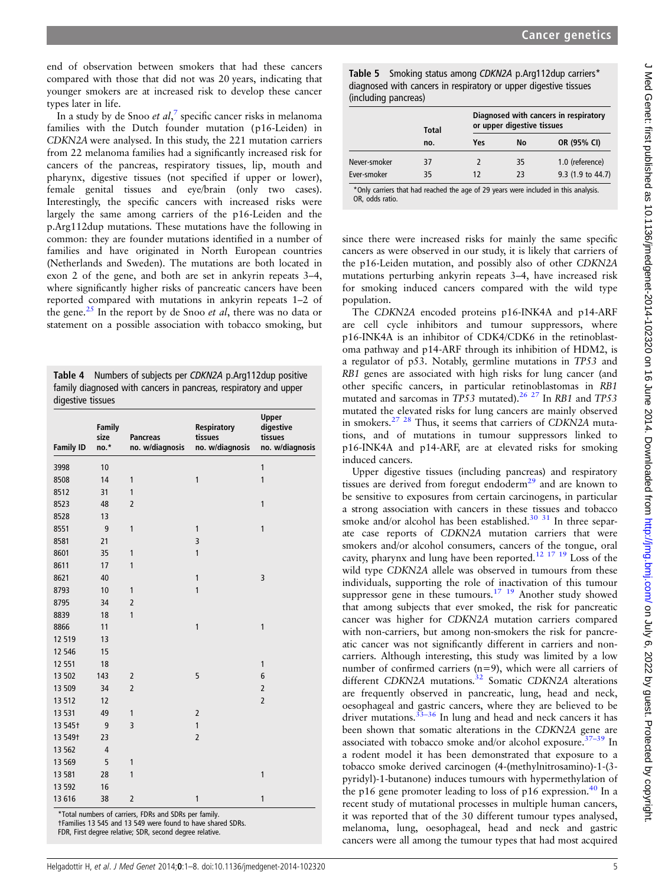<span id="page-4-0"></span>end of observation between smokers that had these cancers compared with those that did not was 20 years, indicating that younger smokers are at increased risk to develop these cancer types later in life.

In a study by de Snoo et al,<sup>[7](#page-6-0)</sup> specific cancer risks in melanoma families with the Dutch founder mutation (p16-Leiden) in CDKN2A were analysed. In this study, the 221 mutation carriers from 22 melanoma families had a significantly increased risk for cancers of the pancreas, respiratory tissues, lip, mouth and pharynx, digestive tissues (not specified if upper or lower), female genital tissues and eye/brain (only two cases). Interestingly, the specific cancers with increased risks were largely the same among carriers of the p16-Leiden and the p.Arg112dup mutations. These mutations have the following in common: they are founder mutations identified in a number of families and have originated in North European countries (Netherlands and Sweden). The mutations are both located in exon 2 of the gene, and both are set in ankyrin repeats 3–4, where significantly higher risks of pancreatic cancers have been reported compared with mutations in ankyrin repeats 1–2 of the gene. $25$  In the report by de Snoo *et al*, there was no data or statement on a possible association with tobacco smoking, but

Table 4 Numbers of subjects per CDKN2A p.Arg112dup positive family diagnosed with cancers in pancreas, respiratory and upper digestive tissues

| <b>Family ID</b>    | Family<br>size<br>no.* | <b>Pancreas</b><br>no. w/diagnosis | Respiratory<br>tissues<br>no. w/diagnosis | <b>Upper</b><br>digestive<br>tissues<br>no. w/diagnosis |
|---------------------|------------------------|------------------------------------|-------------------------------------------|---------------------------------------------------------|
| 3998                | 10                     |                                    |                                           | $\mathbf{1}$                                            |
| 8508                | 14                     | 1                                  | $\mathbf{1}$                              | 1                                                       |
| 8512                | 31                     | 1                                  |                                           |                                                         |
| 8523                | 48                     | $\overline{2}$                     |                                           | $\mathbf{1}$                                            |
| 8528                | 13                     |                                    |                                           |                                                         |
| 8551                | 9                      | 1                                  | 1                                         | 1                                                       |
| 8581                | 21                     |                                    | 3                                         |                                                         |
| 8601                | 35                     | 1                                  | $\mathbf{1}$                              |                                                         |
| 8611                | 17                     | 1                                  |                                           |                                                         |
| 8621                | 40                     |                                    | $\mathbf{1}$                              | 3                                                       |
| 8793                | 10                     | 1                                  | $\mathbf{1}$                              |                                                         |
| 8795                | 34                     | $\overline{2}$                     |                                           |                                                         |
| 8839                | 18                     | $\mathbf{1}$                       |                                           |                                                         |
| 8866                | 11                     |                                    | $\mathbf{1}$                              | $\mathbf{1}$                                            |
| 12 5 19             | 13                     |                                    |                                           |                                                         |
| 12 546              | 15                     |                                    |                                           |                                                         |
| 12 551              | 18                     |                                    |                                           | $\mathbf{1}$                                            |
| 13 502              | 143                    | 2                                  | 5                                         | 6                                                       |
| 13 509              | 34                     | $\overline{2}$                     |                                           | $\overline{2}$                                          |
| 13512               | 12                     |                                    |                                           | $\overline{2}$                                          |
| 13 5 31             | 49                     | 1                                  | $\overline{2}$                            |                                                         |
| 13 545 +            | 9                      | 3                                  | $\mathbf{1}$                              |                                                         |
| 13 549 <sup>+</sup> | 23                     |                                    | $\overline{2}$                            |                                                         |
| 13 5 62             | $\overline{4}$         |                                    |                                           |                                                         |
| 13 5 69             | 5                      | 1                                  |                                           |                                                         |
| 13 581              | 28                     | $\mathbf{1}$                       |                                           | $\mathbf{1}$                                            |
| 13 5 92             | 16                     |                                    |                                           |                                                         |
| 13 616              | 38                     | $\overline{2}$                     | 1                                         | $\mathbf{1}$                                            |

\*Total numbers of carriers, FDRs and SDRs per family. †Families 13 545 and 13 549 were found to have shared SDRs. FDR, First degree relative; SDR, second degree relative.

Table 5 Smoking status among CDKN2A p.Arg112dup carriers\* diagnosed with cancers in respiratory or upper digestive tissues (including pancreas)

|              | <b>Total</b> | or upper digestive tissues | Diagnosed with cancers in respiratory |                   |
|--------------|--------------|----------------------------|---------------------------------------|-------------------|
|              | no.          | Yes                        | No                                    | OR (95% CI)       |
| Never-smoker | 37           |                            | 35                                    | 1.0 (reference)   |
| Ever-smoker  | 35           | 12                         | 23                                    | 9.3 (1.9 to 44.7) |

\*Only carriers that had reached the age of 29 years were included in this analysis. OR, odds ratio.

since there were increased risks for mainly the same specific cancers as were observed in our study, it is likely that carriers of the p16-Leiden mutation, and possibly also of other CDKN2A mutations perturbing ankyrin repeats 3–4, have increased risk for smoking induced cancers compared with the wild type population.

The CDKN2A encoded proteins p16-INK4A and p14-ARF are cell cycle inhibitors and tumour suppressors, where p16-INK4A is an inhibitor of CDK4/CDK6 in the retinoblastoma pathway and p14-ARF through its inhibition of HDM2, is a regulator of p53. Notably, germline mutations in TP53 and RB1 genes are associated with high risks for lung cancer (and other specific cancers, in particular retinoblastomas in RB1 mutated and sarcomas in TP53 mutated).<sup>[26 27](#page-6-0)</sup> In RB1 and TP53 mutated the elevated risks for lung cancers are mainly observed in smokers.<sup>27</sup> <sup>28</sup> Thus, it seems that carriers of CDKN2A mutations, and of mutations in tumour suppressors linked to p16-INK4A and p14-ARF, are at elevated risks for smoking induced cancers.

Upper digestive tissues (including pancreas) and respiratory tissues are derived from foregut endoderm $^{29}$  $^{29}$  $^{29}$  and are known to be sensitive to exposures from certain carcinogens, in particular a strong association with cancers in these tissues and tobacco smoke and/or alcohol has been established.<sup>30</sup> <sup>31</sup> In three separate case reports of CDKN2A mutation carriers that were smokers and/or alcohol consumers, cancers of the tongue, oral cavity, pharynx and lung have been reported.[12 17 19](#page-6-0) Loss of the wild type CDKN2A allele was observed in tumours from these individuals, supporting the role of inactivation of this tumour suppressor gene in these tumours.<sup>17</sup> <sup>19</sup> Another study showed that among subjects that ever smoked, the risk for pancreatic cancer was higher for CDKN2A mutation carriers compared with non-carriers, but among non-smokers the risk for pancreatic cancer was not significantly different in carriers and noncarriers. Although interesting, this study was limited by a low number of confirmed carriers (n=9), which were all carriers of different CDKN2A mutations.<sup>[32](#page-6-0)</sup> Somatic CDKN2A alterations are frequently observed in pancreatic, lung, head and neck, oesophageal and gastric cancers, where they are believed to be driver mutations.<sup>33-[36](#page-6-0)</sup> In lung and head and neck cancers it has been shown that somatic alterations in the CDKN2A gene are associated with tobacco smoke and/or alcohol exposure.<sup>37–[39](#page-7-0)</sup> In a rodent model it has been demonstrated that exposure to a tobacco smoke derived carcinogen (4-(methylnitrosamino)-1-(3 pyridyl)-1-butanone) induces tumours with hypermethylation of the p16 gene promoter leading to loss of p16 expression.<sup>[40](#page-7-0)</sup> In a recent study of mutational processes in multiple human cancers, it was reported that of the 30 different tumour types analysed, melanoma, lung, oesophageal, head and neck and gastric cancers were all among the tumour types that had most acquired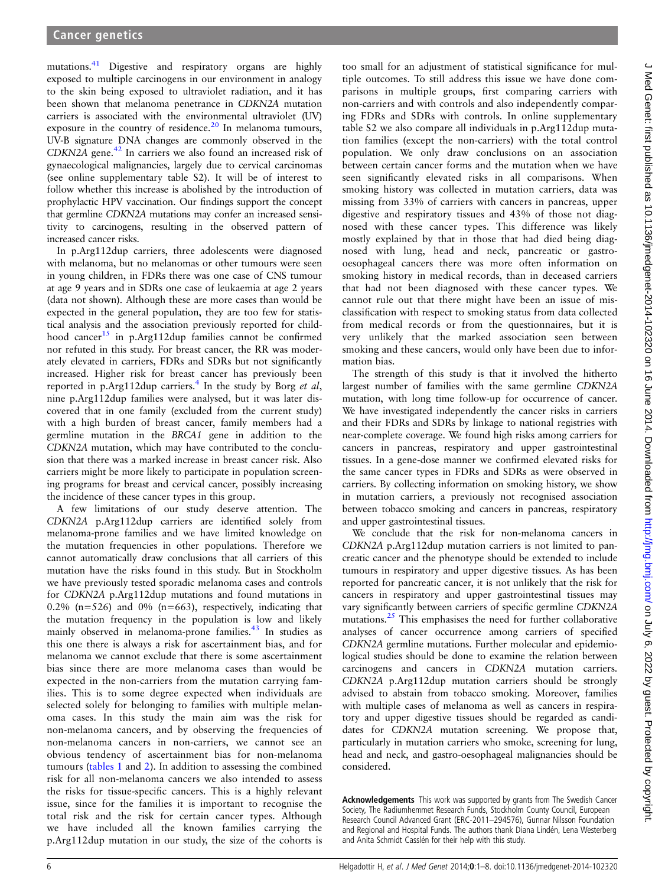mutations.<sup>[41](#page-7-0)</sup> Digestive and respiratory organs are highly exposed to multiple carcinogens in our environment in analogy to the skin being exposed to ultraviolet radiation, and it has been shown that melanoma penetrance in CDKN2A mutation carriers is associated with the environmental ultraviolet (UV) exposure in the country of residence. $20$  In melanoma tumours, UV-B signature DNA changes are commonly observed in the CDKN2A gene.<sup>[42](#page-7-0)</sup> In carriers we also found an increased risk of gynaecological malignancies, largely due to cervical carcinomas (see online supplementary table S2). It will be of interest to follow whether this increase is abolished by the introduction of prophylactic HPV vaccination. Our findings support the concept that germline CDKN2A mutations may confer an increased sensitivity to carcinogens, resulting in the observed pattern of increased cancer risks.

In p.Arg112dup carriers, three adolescents were diagnosed with melanoma, but no melanomas or other tumours were seen in young children, in FDRs there was one case of CNS tumour at age 9 years and in SDRs one case of leukaemia at age 2 years (data not shown). Although these are more cases than would be expected in the general population, they are too few for statistical analysis and the association previously reported for child-hood cancer<sup>[15](#page-6-0)</sup> in p.Arg112dup families cannot be confirmed nor refuted in this study. For breast cancer, the RR was moderately elevated in carriers, FDRs and SDRs but not significantly increased. Higher risk for breast cancer has previously been reported in p.Arg112dup carriers.<sup>[4](#page-6-0)</sup> In the study by Borg *et al*, nine p.Arg112dup families were analysed, but it was later discovered that in one family (excluded from the current study) with a high burden of breast cancer, family members had a germline mutation in the BRCA1 gene in addition to the CDKN2A mutation, which may have contributed to the conclusion that there was a marked increase in breast cancer risk. Also carriers might be more likely to participate in population screening programs for breast and cervical cancer, possibly increasing the incidence of these cancer types in this group.

A few limitations of our study deserve attention. The CDKN2A p.Arg112dup carriers are identified solely from melanoma-prone families and we have limited knowledge on the mutation frequencies in other populations. Therefore we cannot automatically draw conclusions that all carriers of this mutation have the risks found in this study. But in Stockholm we have previously tested sporadic melanoma cases and controls for CDKN2A p.Arg112dup mutations and found mutations in 0.2% ( $n=526$ ) and 0% ( $n=663$ ), respectively, indicating that the mutation frequency in the population is low and likely mainly observed in melanoma-prone families.<sup>43</sup> In studies as this one there is always a risk for ascertainment bias, and for melanoma we cannot exclude that there is some ascertainment bias since there are more melanoma cases than would be expected in the non-carriers from the mutation carrying families. This is to some degree expected when individuals are selected solely for belonging to families with multiple melanoma cases. In this study the main aim was the risk for non-melanoma cancers, and by observing the frequencies of non-melanoma cancers in non-carriers, we cannot see an obvious tendency of ascertainment bias for non-melanoma tumours ([tables 1](#page-2-0) and [2](#page-2-0)). In addition to assessing the combined risk for all non-melanoma cancers we also intended to assess the risks for tissue-specific cancers. This is a highly relevant issue, since for the families it is important to recognise the total risk and the risk for certain cancer types. Although we have included all the known families carrying the p.Arg112dup mutation in our study, the size of the cohorts is

too small for an adjustment of statistical significance for multiple outcomes. To still address this issue we have done comparisons in multiple groups, first comparing carriers with non-carriers and with controls and also independently comparing FDRs and SDRs with controls. In online supplementary table S2 we also compare all individuals in p.Arg112dup mutation families (except the non-carriers) with the total control population. We only draw conclusions on an association between certain cancer forms and the mutation when we have seen significantly elevated risks in all comparisons. When smoking history was collected in mutation carriers, data was missing from 33% of carriers with cancers in pancreas, upper digestive and respiratory tissues and 43% of those not diagnosed with these cancer types. This difference was likely mostly explained by that in those that had died being diagnosed with lung, head and neck, pancreatic or gastrooesophageal cancers there was more often information on smoking history in medical records, than in deceased carriers that had not been diagnosed with these cancer types. We cannot rule out that there might have been an issue of misclassification with respect to smoking status from data collected from medical records or from the questionnaires, but it is very unlikely that the marked association seen between smoking and these cancers, would only have been due to information bias.

The strength of this study is that it involved the hitherto largest number of families with the same germline CDKN2A mutation, with long time follow-up for occurrence of cancer. We have investigated independently the cancer risks in carriers and their FDRs and SDRs by linkage to national registries with near-complete coverage. We found high risks among carriers for cancers in pancreas, respiratory and upper gastrointestinal tissues. In a gene-dose manner we confirmed elevated risks for the same cancer types in FDRs and SDRs as were observed in carriers. By collecting information on smoking history, we show in mutation carriers, a previously not recognised association between tobacco smoking and cancers in pancreas, respiratory and upper gastrointestinal tissues.

We conclude that the risk for non-melanoma cancers in CDKN2A p.Arg112dup mutation carriers is not limited to pancreatic cancer and the phenotype should be extended to include tumours in respiratory and upper digestive tissues. As has been reported for pancreatic cancer, it is not unlikely that the risk for cancers in respiratory and upper gastrointestinal tissues may vary significantly between carriers of specific germline CDKN2A mutations.[25](#page-6-0) This emphasises the need for further collaborative analyses of cancer occurrence among carriers of specified CDKN2A germline mutations. Further molecular and epidemiological studies should be done to examine the relation between carcinogens and cancers in CDKN2A mutation carriers. CDKN2A p.Arg112dup mutation carriers should be strongly advised to abstain from tobacco smoking. Moreover, families with multiple cases of melanoma as well as cancers in respiratory and upper digestive tissues should be regarded as candidates for CDKN2A mutation screening. We propose that, particularly in mutation carriers who smoke, screening for lung, head and neck, and gastro-oesophageal malignancies should be considered.

Acknowledgements This work was supported by grants from The Swedish Cancer Society, The Radiumhemmet Research Funds, Stockholm County Council, European Research Council Advanced Grant (ERC-2011–294576), Gunnar Nilsson Foundation and Regional and Hospital Funds. The authors thank Diana Lindén, Lena Westerberg and Anita Schmidt Casslén for their help with this study.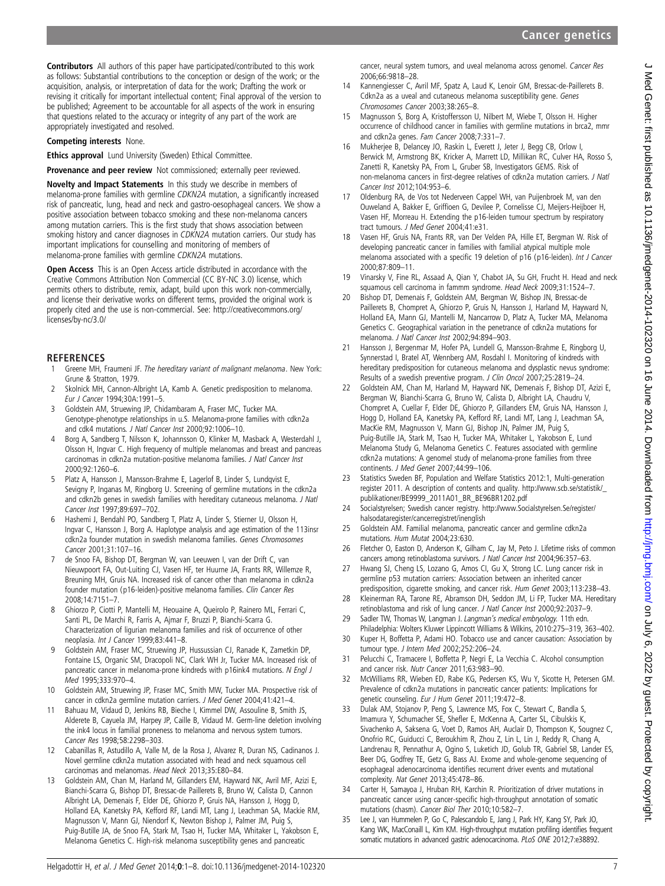<span id="page-6-0"></span>Contributors All authors of this paper have participated/contributed to this work as follows: Substantial contributions to the conception or design of the work; or the acquisition, analysis, or interpretation of data for the work; Drafting the work or revising it critically for important intellectual content; Final approval of the version to be published; Agreement to be accountable for all aspects of the work in ensuring that questions related to the accuracy or integrity of any part of the work are appropriately investigated and resolved.

#### Competing interests None.

Ethics approval Lund University (Sweden) Ethical Committee.

Provenance and peer review Not commissioned; externally peer reviewed.

Novelty and Impact Statements In this study we describe in members of melanoma-prone families with germline CDKN2A mutation, a significantly increased risk of pancreatic, lung, head and neck and gastro-oesophageal cancers. We show a positive association between tobacco smoking and these non-melanoma cancers among mutation carriers. This is the first study that shows association between smoking history and cancer diagnoses in CDKN2A mutation carriers. Our study has important implications for counselling and monitoring of members of melanoma-prone families with germline CDKN2A mutations.

Open Access This is an Open Access article distributed in accordance with the Creative Commons Attribution Non Commercial (CC BY-NC 3.0) license, which permits others to distribute, remix, adapt, build upon this work non-commercially, and license their derivative works on different terms, provided the original work is properly cited and the use is non-commercial. See: http://creativecommons.org/ licenses/by-nc/3.0/

# **REFERENCES**<br>1 Greene MH. F

- Greene MH, Fraumeni JF. The hereditary variant of malignant melanoma. New York: Grune & Stratton, 1979.
- 2 Skolnick MH, Cannon-Albright LA, Kamb A. Genetic predisposition to melanoma. Eur J Cancer 1994;30A:1991–5.
- 3 Goldstein AM, Struewing JP, Chidambaram A, Fraser MC, Tucker MA. Genotype-phenotype relationships in u.S. Melanoma-prone families with cdkn2a and cdk4 mutations. J Natl Cancer Inst 2000;92:1006–10.
- 4 Borg A, Sandberg T, Nilsson K, Johannsson O, Klinker M, Masback A, Westerdahl J, Olsson H, Ingvar C. High frequency of multiple melanomas and breast and pancreas carcinomas in cdkn2a mutation-positive melanoma families. J Natl Cancer Inst 2000;92:1260–6.
- 5 Platz A, Hansson J, Mansson-Brahme E, Lagerlof B, Linder S, Lundqvist E, Sevigny P, Inganas M, Ringborg U. Screening of germline mutations in the cdkn2a and cdkn2b genes in swedish families with hereditary cutaneous melanoma. J Natl Cancer Inst 1997;89:697–702.
- 6 Hashemi J, Bendahl PO, Sandberg T, Platz A, Linder S, Stierner U, Olsson H, Ingvar C, Hansson J, Borg A. Haplotype analysis and age estimation of the 113insr cdkn2a founder mutation in swedish melanoma families. Genes Chromosomes Cancer 2001;31:107–16.
- 7 de Snoo FA, Bishop DT, Bergman W, van Leeuwen I, van der Drift C, van Nieuwpoort FA, Out-Luiting CJ, Vasen HF, ter Huurne JA, Frants RR, Willemze R, Breuning MH, Gruis NA. Increased risk of cancer other than melanoma in cdkn2a founder mutation (p16-leiden)-positive melanoma families. Clin Cancer Res 2008;14:7151–7.
- 8 Ghiorzo P, Ciotti P, Mantelli M, Heouaine A, Queirolo P, Rainero ML, Ferrari C, Santi PL, De Marchi R, Farris A, Ajmar F, Bruzzi P, Bianchi-Scarra G. Characterization of ligurian melanoma families and risk of occurrence of other neoplasia. Int J Cancer 1999;83:441–8.
- 9 Goldstein AM, Fraser MC, Struewing JP, Hussussian CJ, Ranade K, Zametkin DP, Fontaine LS, Organic SM, Dracopoli NC, Clark WH Jr, Tucker MA. Increased risk of pancreatic cancer in melanoma-prone kindreds with p16ink4 mutations. N Engl J Med 1995;333:970–4.
- 10 Goldstein AM, Struewing JP, Fraser MC, Smith MW, Tucker MA. Prospective risk of cancer in cdkn2a germline mutation carriers. J Med Genet 2004;41:421–4.
- 11 Bahuau M, Vidaud D, Jenkins RB, Bieche I, Kimmel DW, Assouline B, Smith JS, Alderete B, Cayuela JM, Harpey JP, Caille B, Vidaud M. Germ-line deletion involving the ink4 locus in familial proneness to melanoma and nervous system tumors. Cancer Res 1998;58:2298–303.
- 12 Cabanillas R, Astudillo A, Valle M, de la Rosa J, Alvarez R, Duran NS, Cadinanos J. Novel germline cdkn2a mutation associated with head and neck squamous cell carcinomas and melanomas. Head Neck 2013;35:E80–84.
- 13 Goldstein AM, Chan M, Harland M, Gillanders EM, Hayward NK, Avril MF, Azizi E, Bianchi-Scarra G, Bishop DT, Bressac-de Paillerets B, Bruno W, Calista D, Cannon Albright LA, Demenais F, Elder DE, Ghiorzo P, Gruis NA, Hansson J, Hogg D, Holland EA, Kanetsky PA, Kefford RF, Landi MT, Lang J, Leachman SA, Mackie RM, Magnusson V, Mann GJ, Niendorf K, Newton Bishop J, Palmer JM, Puig S, Puig-Butille JA, de Snoo FA, Stark M, Tsao H, Tucker MA, Whitaker L, Yakobson E,

cancer, neural system tumors, and uveal melanoma across genomel. Cancer Res 2006;66:9818–28.

- 14 Kannengiesser C, Avril MF, Spatz A, Laud K, Lenoir GM, Bressac-de-Paillerets B. Cdkn2a as a uveal and cutaneous melanoma susceptibility gene. Genes Chromosomes Cancer 2003;38:265–8.
- 15 Magnusson S, Borg A, Kristoffersson U, Nilbert M, Wiebe T, Olsson H. Higher occurrence of childhood cancer in families with germline mutations in brca2, mmr and cdkn2a genes. Fam Cancer 2008;7:331–7.
- 16 Mukherjee B, Delancey JO, Raskin L, Everett J, Jeter J, Begg CB, Orlow I, Berwick M, Armstrong BK, Kricker A, Marrett LD, Millikan RC, Culver HA, Rosso S, Zanetti R, Kanetsky PA, From L, Gruber SB, Investigators GEMS. Risk of non-melanoma cancers in first-degree relatives of cdkn2a mutation carriers. J Natl Cancer Inst 2012;104:953–6.
- 17 Oldenburg RA, de Vos tot Nederveen Cappel WH, van Puijenbroek M, van den Ouweland A, Bakker E, Griffioen G, Devilee P, Cornelisse CJ, Meijers-Heijboer H, Vasen HF, Morreau H. Extending the p16-leiden tumour spectrum by respiratory tract tumours. J Med Genet 2004;41:e31.
- 18 Vasen HF, Gruis NA, Frants RR, van Der Velden PA, Hille ET, Bergman W. Risk of developing pancreatic cancer in families with familial atypical multiple mole melanoma associated with a specific 19 deletion of p16 (p16-leiden). Int J Cancer 2000;87:809–11.
- 19 Vinarsky V, Fine RL, Assaad A, Qian Y, Chabot JA, Su GH, Frucht H. Head and neck squamous cell carcinoma in fammm syndrome. Head Neck 2009;31:1524–7.
- 20 Bishop DT, Demenais F, Goldstein AM, Bergman W, Bishop JN, Bressac-de Paillerets B, Chompret A, Ghiorzo P, Gruis N, Hansson J, Harland M, Hayward N, Holland EA, Mann GJ, Mantelli M, Nancarrow D, Platz A, Tucker MA, Melanoma Genetics C. Geographical variation in the penetrance of cdkn2a mutations for melanoma. J Natl Cancer Inst 2002;94:894–903.
- 21 Hansson J, Bergenmar M, Hofer PA, Lundell G, Mansson-Brahme E, Ringborg U, Synnerstad I, Bratel AT, Wennberg AM, Rosdahl I. Monitoring of kindreds with hereditary predisposition for cutaneous melanoma and dysplastic nevus syndrome: Results of a swedish preventive program. J Clin Oncol 2007;25:2819–24.
- 22 Goldstein AM, Chan M, Harland M, Hayward NK, Demenais F, Bishop DT, Azizi E, Bergman W, Bianchi-Scarra G, Bruno W, Calista D, Albright LA, Chaudru V, Chompret A, Cuellar F, Elder DE, Ghiorzo P, Gillanders EM, Gruis NA, Hansson J, Hogg D, Holland EA, Kanetsky PA, Kefford RF, Landi MT, Lang J, Leachman SA, MacKie RM, Magnusson V, Mann GJ, Bishop JN, Palmer JM, Puig S, Puig-Butille JA, Stark M, Tsao H, Tucker MA, Whitaker L, Yakobson E, Lund Melanoma Study G, Melanoma Genetics C. Features associated with germline cdkn2a mutations: A genomel study of melanoma-prone families from three continents. J Med Genet 2007;44:99–106.
- 23 Statistics Sweden BF, Population and Welfare Statistics 2012:1, Multi-generation register 2011. A description of contents and quality. [http://www.scb.se/statistik/\\_](http://www.scb.se/statistik/_publikationer/BE9999_2011A01_BR_BE96BR1202.pdf) [publikationer/BE9999\\_2011A01\\_BR\\_BE96BR1202.pdf](http://www.scb.se/statistik/_publikationer/BE9999_2011A01_BR_BE96BR1202.pdf)
- 24 Socialstyrelsen; Swedish cancer registry. [http://www.Socialstyrelsen.Se/register/](http://www.Socialstyrelsen.Se/register/halsodataregister/cancerregistret/inenglish) [halsodataregister/cancerregistret/inenglish](http://www.Socialstyrelsen.Se/register/halsodataregister/cancerregistret/inenglish)
- 25 Goldstein AM. Familial melanoma, pancreatic cancer and germline cdkn2a mutations. Hum Mutat 2004;23:630.
- 26 Fletcher O, Easton D, Anderson K, Gilham C, Jay M, Peto J. Lifetime risks of common cancers among retinoblastoma survivors. J Natl Cancer Inst 2004;96:357–63.
- 27 Hwang SJ, Cheng LS, Lozano G, Amos CI, Gu X, Strong LC. Lung cancer risk in germline p53 mutation carriers: Association between an inherited cancer predisposition, cigarette smoking, and cancer risk. Hum Genet 2003;113:238–43.
- 28 Kleinerman RA, Tarone RE, Abramson DH, Seddon JM, Li FP, Tucker MA. Hereditary retinoblastoma and risk of lung cancer. J Natl Cancer Inst 2000;92:2037–9.
- 29 Sadler TW, Thomas W, Langman J. Langman's medical embryology. 11th edn. Philadelphia: Wolters Kluwer Lippincott Williams & Wilkins, 2010:275–319, 363–402.
- 30 Kuper H, Boffetta P, Adami HO. Tobacco use and cancer causation: Association by tumour type. J Intern Med 2002;252:206–24.
- 31 Pelucchi C, Tramacere I, Boffetta P, Negri E, La Vecchia C. Alcohol consumption and cancer risk. Nutr Cancer 2011;63:983–90.
- 32 McWilliams RR, Wieben ED, Rabe KG, Pedersen KS, Wu Y, Sicotte H, Petersen GM. Prevalence of cdkn2a mutations in pancreatic cancer patients: Implications for genetic counseling. Eur J Hum Genet 2011;19:472–8.
- 33 Dulak AM, Stojanov P, Peng S, Lawrence MS, Fox C, Stewart C, Bandla S, Imamura Y, Schumacher SE, Shefler E, McKenna A, Carter SL, Cibulskis K, Sivachenko A, Saksena G, Voet D, Ramos AH, Auclair D, Thompson K, Sougnez C, Onofrio RC, Guiducci C, Beroukhim R, Zhou Z, Lin L, Lin J, Reddy R, Chang A, Landrenau R, Pennathur A, Ogino S, Luketich JD, Golub TR, Gabriel SB, Lander ES, Beer DG, Godfrey TE, Getz G, Bass AJ. Exome and whole-genome sequencing of esophageal adenocarcinoma identifies recurrent driver events and mutational complexity. Nat Genet 2013;45:478–86.
- 34 Carter H, Samayoa J, Hruban RH, Karchin R. Prioritization of driver mutations in pancreatic cancer using cancer-specific high-throughput annotation of somatic mutations (chasm). Cancer Biol Ther 2010;10:582–7.
- 35 Lee J, van Hummelen P, Go C, Palescandolo E, Jang J, Park HY, Kang SY, Park JO, Kang WK, MacConaill L, Kim KM. High-throughput mutation profiling identifies frequent somatic mutations in advanced gastric adenocarcinoma. PLoS ONE 2012;7:e38892.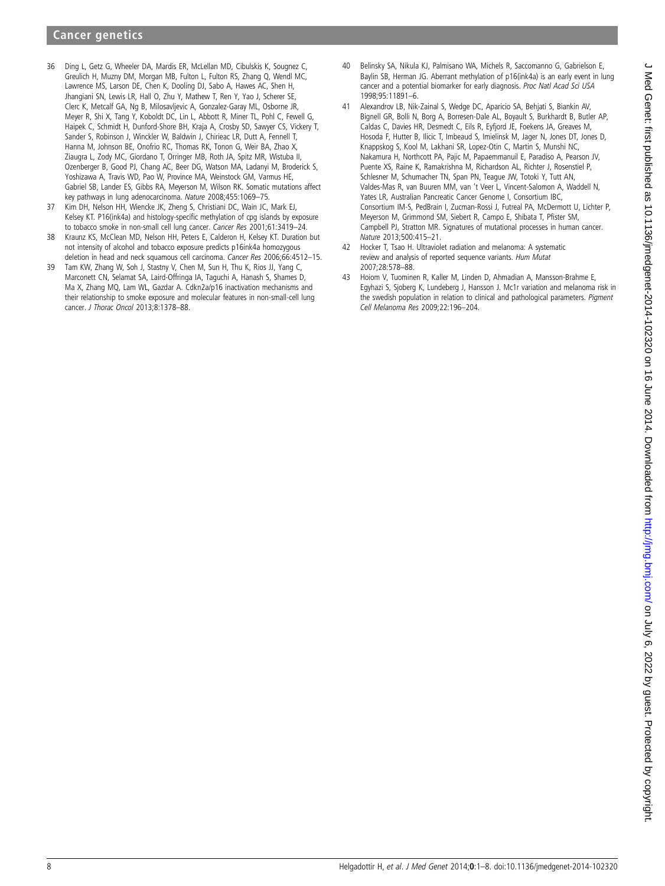- <span id="page-7-0"></span>36 Ding L, Getz G, Wheeler DA, Mardis ER, McLellan MD, Cibulskis K, Sougnez C, Greulich H, Muzny DM, Morgan MB, Fulton L, Fulton RS, Zhang Q, Wendl MC, Lawrence MS, Larson DE, Chen K, Dooling DJ, Sabo A, Hawes AC, Shen H, Jhangiani SN, Lewis LR, Hall O, Zhu Y, Mathew T, Ren Y, Yao J, Scherer SE, Clerc K, Metcalf GA, Ng B, Milosavljevic A, Gonzalez-Garay ML, Osborne JR, Meyer R, Shi X, Tang Y, Koboldt DC, Lin L, Abbott R, Miner TL, Pohl C, Fewell G, Haipek C, Schmidt H, Dunford-Shore BH, Kraja A, Crosby SD, Sawyer CS, Vickery T, Sander S, Robinson J, Winckler W, Baldwin J, Chirieac LR, Dutt A, Fennell T, Hanna M, Johnson BE, Onofrio RC, Thomas RK, Tonon G, Weir BA, Zhao X, Ziaugra L, Zody MC, Giordano T, Orringer MB, Roth JA, Spitz MR, Wistuba II, Ozenberger B, Good PJ, Chang AC, Beer DG, Watson MA, Ladanyi M, Broderick S, Yoshizawa A, Travis WD, Pao W, Province MA, Weinstock GM, Varmus HE, Gabriel SB, Lander ES, Gibbs RA, Meyerson M, Wilson RK. Somatic mutations affect key pathways in lung adenocarcinoma. Nature 2008;455:1069–75.
- 37 Kim DH, Nelson HH, Wiencke JK, Zheng S, Christiani DC, Wain JC, Mark EJ, Kelsey KT. P16(ink4a) and histology-specific methylation of cpg islands by exposure to tobacco smoke in non-small cell lung cancer. Cancer Res 2001;61:3419–24.
- 38 Kraunz KS, McClean MD, Nelson HH, Peters E, Calderon H, Kelsey KT. Duration but not intensity of alcohol and tobacco exposure predicts p16ink4a homozygous deletion in head and neck squamous cell carcinoma. Cancer Res 2006;66:4512–15.
- 39 Tam KW, Zhang W, Soh J, Stastny V, Chen M, Sun H, Thu K, Rios JJ, Yang C, Marconett CN, Selamat SA, Laird-Offringa IA, Taguchi A, Hanash S, Shames D, Ma X, Zhang MQ, Lam WL, Gazdar A. Cdkn2a/p16 inactivation mechanisms and their relationship to smoke exposure and molecular features in non-small-cell lung cancer. J Thorac Oncol 2013;8:1378–88.
- 40 Belinsky SA, Nikula KJ, Palmisano WA, Michels R, Saccomanno G, Gabrielson E, Baylin SB, Herman JG. Aberrant methylation of p16(ink4a) is an early event in lung cancer and a potential biomarker for early diagnosis. Proc Natl Acad Sci USA 1998;95:11891–6.
- 41 Alexandrov LB, Nik-Zainal S, Wedge DC, Aparicio SA, Behjati S, Biankin AV, Bignell GR, Bolli N, Borg A, Borresen-Dale AL, Boyault S, Burkhardt B, Butler AP, Caldas C, Davies HR, Desmedt C, Eils R, Eyfjord JE, Foekens JA, Greaves M, Hosoda F, Hutter B, Ilicic T, Imbeaud S, Imielinsk M, Jager N, Jones DT, Jones D, Knappskog S, Kool M, Lakhani SR, Lopez-Otin C, Martin S, Munshi NC, Nakamura H, Northcott PA, Pajic M, Papaemmanuil E, Paradiso A, Pearson JV, Puente XS, Raine K, Ramakrishna M, Richardson AL, Richter J, Rosenstiel P, Schlesner M, Schumacher TN, Span PN, Teague JW, Totoki Y, Tutt AN, Valdes-Mas R, van Buuren MM, van 't Veer L, Vincent-Salomon A, Waddell N, Yates LR, Australian Pancreatic Cancer Genome I, Consortium IBC, Consortium IM-S, PedBrain I, Zucman-Rossi J, Futreal PA, McDermott U, Lichter P, Meyerson M, Grimmond SM, Siebert R, Campo E, Shibata T, Pfister SM, Campbell PJ, Stratton MR. Signatures of mutational processes in human cancer. Nature 2013;500:415–21.
- 42 Hocker T, Tsao H. Ultraviolet radiation and melanoma: A systematic review and analysis of reported sequence variants. Hum Mutat 2007;28:578–88.
- Hoiom V, Tuominen R, Kaller M, Linden D, Ahmadian A, Mansson-Brahme E, Egyhazi S, Sjoberg K, Lundeberg J, Hansson J. Mc1r variation and melanoma risk in the swedish population in relation to clinical and pathological parameters. Pigment Cell Melanoma Res 2009;22:196–204.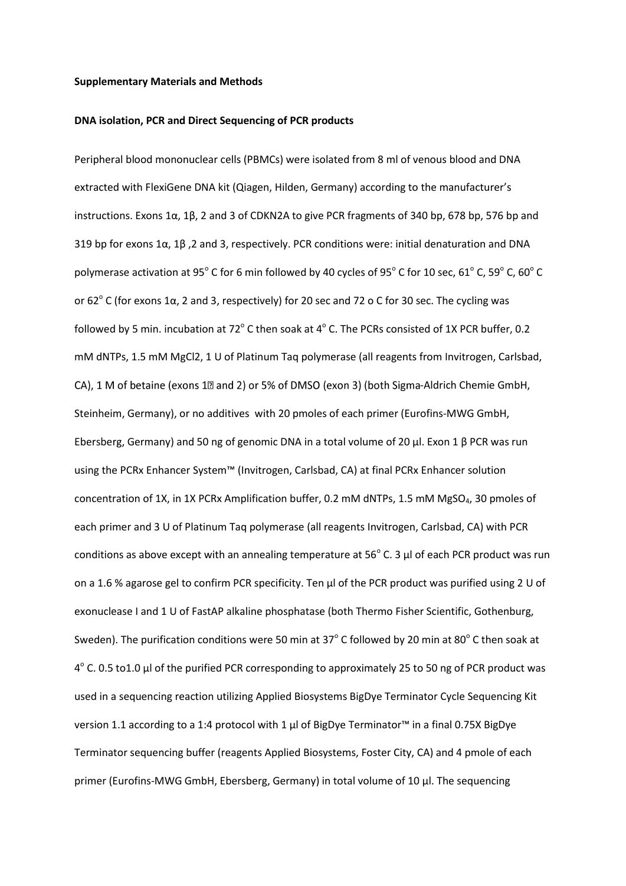#### **Supplementary Materials and Methods**

#### **DNA isolation, PCR and Direct Sequencing of PCR products**

Peripheral blood mononuclear cells (PBMCs) were isolated from 8 ml of venous blood and DNA extracted with FlexiGene DNA kit (Qiagen, Hilden, Germany) according to the manufacturer's instructions. Exons 1α, 1β, 2 and 3 of CDKN2A to give PCR fragments of 340 bp, 678 bp, 576 bp and 319 bp for exons 1α, 1β ,2 and 3, respectively. PCR conditions were: initial denaturation and DNA polymerase activation at 95 $^{\circ}$  C for 6 min followed by 40 cycles of 95 $^{\circ}$  C for 10 sec, 61 $^{\circ}$  C, 59 $^{\circ}$  C, 60 $^{\circ}$  C or 62 $^{\circ}$  C (for exons 1 $\alpha$ , 2 and 3, respectively) for 20 sec and 72 o C for 30 sec. The cycling was followed by 5 min. incubation at 72 $^{\circ}$  C then soak at 4 $^{\circ}$  C. The PCRs consisted of 1X PCR buffer, 0.2 mM dNTPs, 1.5 mM MgCl2, 1 U of Platinum Taq polymerase (all reagents from Invitrogen, Carlsbad, CA), 1 M of betaine (exons  $1\text{R}$  and 2) or 5% of DMSO (exon 3) (both Sigma-Aldrich Chemie GmbH, Steinheim, Germany), or no additives with 20 pmoles of each primer (Eurofins-MWG GmbH, Ebersberg, Germany) and 50 ng of genomic DNA in a total volume of 20 µl. Exon 1 β PCR was run using the PCRx Enhancer System™ (Invitrogen, Carlsbad, CA) at final PCRx Enhancer solution concentration of 1X, in 1X PCRx Amplification buffer, 0.2 mM dNTPs, 1.5 mM MgSO<sub>4</sub>, 30 pmoles of each primer and 3 U of Platinum Taq polymerase (all reagents Invitrogen, Carlsbad, CA) with PCR conditions as above except with an annealing temperature at  $56^{\circ}$  C. 3  $\mu$ l of each PCR product was run on a 1.6 % agarose gel to confirm PCR specificity. Ten µl of the PCR product was purified using 2 U of exonuclease I and 1 U of FastAP alkaline phosphatase (both Thermo Fisher Scientific, Gothenburg, Sweden). The purification conditions were 50 min at 37 $^{\circ}$  C followed by 20 min at 80 $^{\circ}$  C then soak at  $4^{\circ}$  C. 0.5 to1.0 µl of the purified PCR corresponding to approximately 25 to 50 ng of PCR product was used in a sequencing reaction utilizing Applied Biosystems BigDye Terminator Cycle Sequencing Kit version 1.1 according to a 1:4 protocol with 1 µl of BigDye Terminator™ in a final 0.75X BigDye Terminator sequencing buffer (reagents Applied Biosystems, Foster City, CA) and 4 pmole of each primer (Eurofins-MWG GmbH, Ebersberg, Germany) in total volume of 10 µl. The sequencing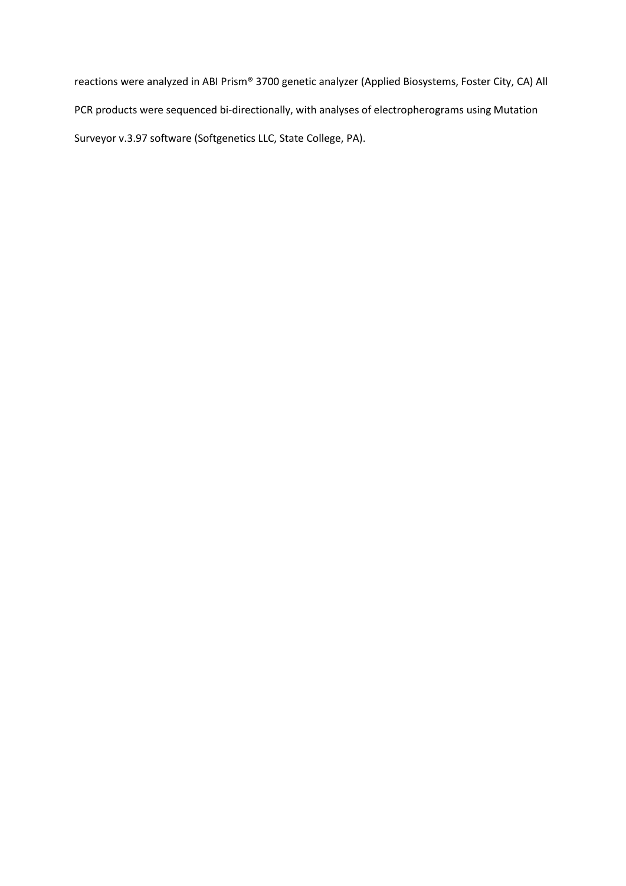reactions were analyzed in ABI Prism® 3700 genetic analyzer (Applied Biosystems, Foster City, CA) All PCR products were sequenced bi-directionally, with analyses of electropherograms using Mutation Surveyor v.3.97 software (Softgenetics LLC, State College, PA).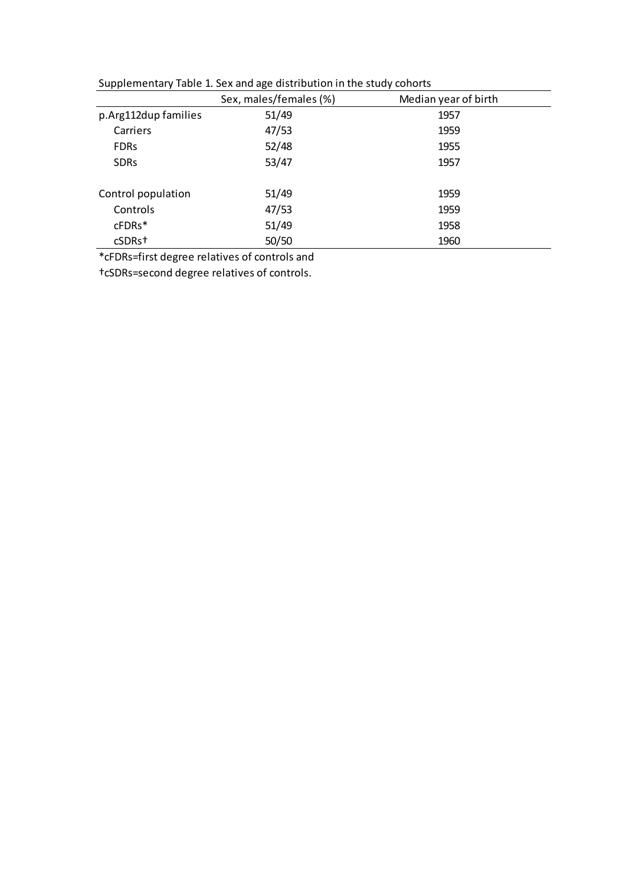| .                    | ັ                      | ,                    |
|----------------------|------------------------|----------------------|
|                      | Sex, males/females (%) | Median year of birth |
| p.Arg112dup families | 51/49                  | 1957                 |
| Carriers             | 47/53                  | 1959                 |
| <b>FDRs</b>          | 52/48                  | 1955                 |
| <b>SDRs</b>          | 53/47                  | 1957                 |
|                      |                        |                      |
| Control population   | 51/49                  | 1959                 |
| Controls             | 47/53                  | 1959                 |
| cFDRs*               | 51/49                  | 1958                 |
| cSDRst               | 50/50                  | 1960                 |

Supplementary Table 1. Sex and age distribution in the study cohorts

\*cFDRs=first degree relatives of controls and

†cSDRs=second degree relatives of controls.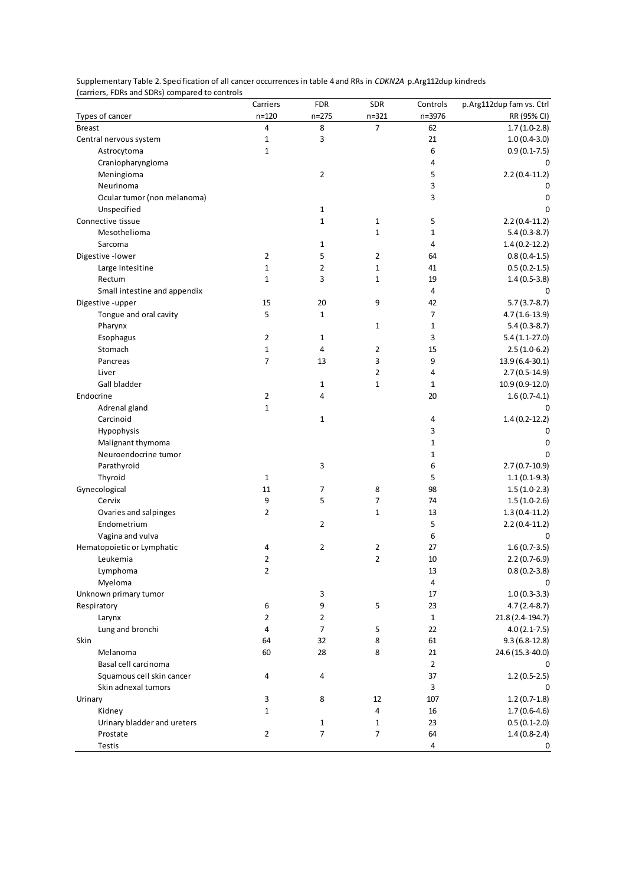| carriers, i bits and spits, compared to controls | Carriers         | <b>FDR</b>   | SDR            | Controls       | p.Arg112dup fam vs. Ctrl         |
|--------------------------------------------------|------------------|--------------|----------------|----------------|----------------------------------|
| Types of cancer                                  | $n = 120$        | $n = 275$    | $n = 321$      | n=3976         | RR (95% CI)                      |
| <b>Breast</b>                                    | 4                | 8            | $\overline{7}$ | 62             | $1.7(1.0-2.8)$                   |
| Central nervous system                           | 1                | 3            |                | 21             | $1.0(0.4-3.0)$                   |
| Astrocytoma                                      | $\mathbf 1$      |              |                | 6              | $0.9(0.1-7.5)$                   |
| Craniopharyngioma                                |                  |              |                | 4              | 0                                |
| Meningioma                                       |                  | 2            |                | 5              | $2.2(0.4-11.2)$                  |
| Neurinoma                                        |                  |              |                | 3              | $\Omega$                         |
| Ocular tumor (non melanoma)                      |                  |              |                | 3              | 0                                |
| Unspecified                                      |                  | 1            |                |                | $\Omega$                         |
| Connective tissue                                |                  | $\mathbf{1}$ | $\mathbf{1}$   | 5              | $2.2(0.4-11.2)$                  |
| Mesothelioma                                     |                  |              | $\mathbf{1}$   | $\mathbf 1$    | $5.4(0.3-8.7)$                   |
| Sarcoma                                          |                  | 1            |                | 4              | $1.4(0.2-12.2)$                  |
| Digestive - lower                                | 2                | 5            | 2              | 64             | $0.8(0.4-1.5)$                   |
| Large Intesitine                                 | $\mathbf 1$      | 2            | $\mathbf 1$    | 41             | $0.5(0.2-1.5)$                   |
| Rectum                                           | $\mathbf{1}$     | 3            | $\mathbf{1}$   | 19             | $1.4(0.5-3.8)$                   |
| Small intestine and appendix                     |                  |              |                | 4              | 0                                |
| Digestive -upper                                 | 15               | 20           | 9              | 42             | $5.7(3.7-8.7)$                   |
| Tongue and oral cavity                           | 5                | $\mathbf{1}$ |                | 7              | $4.7(1.6-13.9)$                  |
| Pharynx                                          |                  |              | $\mathbf{1}$   | $\mathbf{1}$   | $5.4(0.3-8.7)$                   |
| Esophagus                                        | 2                | 1            |                | 3              | $5.4(1.1-27.0)$                  |
| Stomach                                          | $\mathbf 1$      | 4            | $\overline{2}$ | 15             | $2.5(1.0-6.2)$                   |
| Pancreas                                         | $\overline{7}$   | 13           | 3              | 9              | 13.9 (6.4-30.1)                  |
| Liver                                            |                  |              | $\overline{2}$ | 4              | $2.7(0.5-14.9)$                  |
| Gall bladder                                     |                  | 1            | $\mathbf{1}$   | $1\,$          | 10.9 (0.9-12.0)                  |
| Endocrine                                        | $\overline{2}$   | 4            |                | 20             | $1.6(0.7-4.1)$                   |
| Adrenal gland                                    | $\mathbf 1$      |              |                |                | 0                                |
| Carcinoid                                        |                  | 1            |                | 4              | $1.4(0.2-12.2)$                  |
| Hypophysis                                       |                  |              |                | 3              | 0                                |
| Malignant thymoma                                |                  |              |                | $1\,$          | $\Omega$                         |
| Neuroendocrine tumor                             |                  |              |                | $\mathbf{1}$   | $\Omega$                         |
| Parathyroid                                      |                  | 3            |                | 6              | $2.7(0.7-10.9)$                  |
| Thyroid                                          | 1                |              |                | 5              | $1.1(0.1-9.3)$                   |
| Gynecological                                    | 11               | 7            | 8              | 98             | $1.5(1.0-2.3)$                   |
| Cervix                                           | 9                | 5            | 7              | 74             | $1.5(1.0-2.6)$                   |
| Ovaries and salpinges                            | 2                |              | $\mathbf{1}$   | 13             | $1.3(0.4-11.2)$                  |
| Endometrium                                      |                  | 2            |                | 5              | $2.2(0.4-11.2)$                  |
| Vagina and vulva                                 |                  |              |                | 6              | 0                                |
| Hematopoietic or Lymphatic                       | 4                | 2            | 2              | 27             | $1.6(0.7-3.5)$                   |
| Leukemia                                         | 2                |              | $\overline{2}$ | 10             | $2.2(0.7-6.9)$                   |
| Lymphoma                                         | 2                |              |                | 13             | $0.8(0.2-3.8)$                   |
| Myeloma                                          |                  |              |                | $\overline{a}$ | 0                                |
| Unknown primary tumor                            |                  | 3            |                | 17             | $1.0(0.3-3.3)$                   |
| Respiratory                                      | 6                | 9            | 5              | 23             | $4.7(2.4-8.7)$                   |
| Larynx                                           | $\overline{2}$   | 2            |                | $\mathbf{1}$   | 21.8 (2.4-194.7)                 |
| Lung and bronchi                                 | 4                | 7            | 5              | 22             | $4.0(2.1-7.5)$                   |
| Skin                                             | 64               | 32           | 8              | 61             | $9.3(6.8-12.8)$                  |
| Melanoma                                         | 60               | 28           | 8              | 21             | 24.6 (15.3-40.0)                 |
| Basal cell carcinoma                             |                  |              |                | $\overline{2}$ |                                  |
| Squamous cell skin cancer                        | 4                | 4            |                | 37             | $1.2(0.5-2.5)$                   |
| Skin adnexal tumors                              |                  |              |                | $\mathbf{3}$   |                                  |
| Urinary                                          |                  |              | 12             | 107            |                                  |
| Kidney                                           | 3<br>$\mathbf 1$ | 8            | 4              | 16             | $1.2(0.7-1.8)$<br>$1.7(0.6-4.6)$ |
|                                                  |                  |              | $\mathbf{1}$   |                |                                  |
| Urinary bladder and ureters<br>Prostate          | $\overline{2}$   | 1<br>7       | 7              | 23<br>64       | $0.5(0.1-2.0)$                   |
|                                                  |                  |              |                | $\overline{a}$ | $1.4(0.8-2.4)$                   |
| Testis                                           |                  |              |                |                | 0                                |

Supplementary Table 2. Specification of all cancer occurrences in table 4 and RRs in *CDKN2A* p.Arg112dup kindreds (carriers, FDRs and SDRs) compared to controls